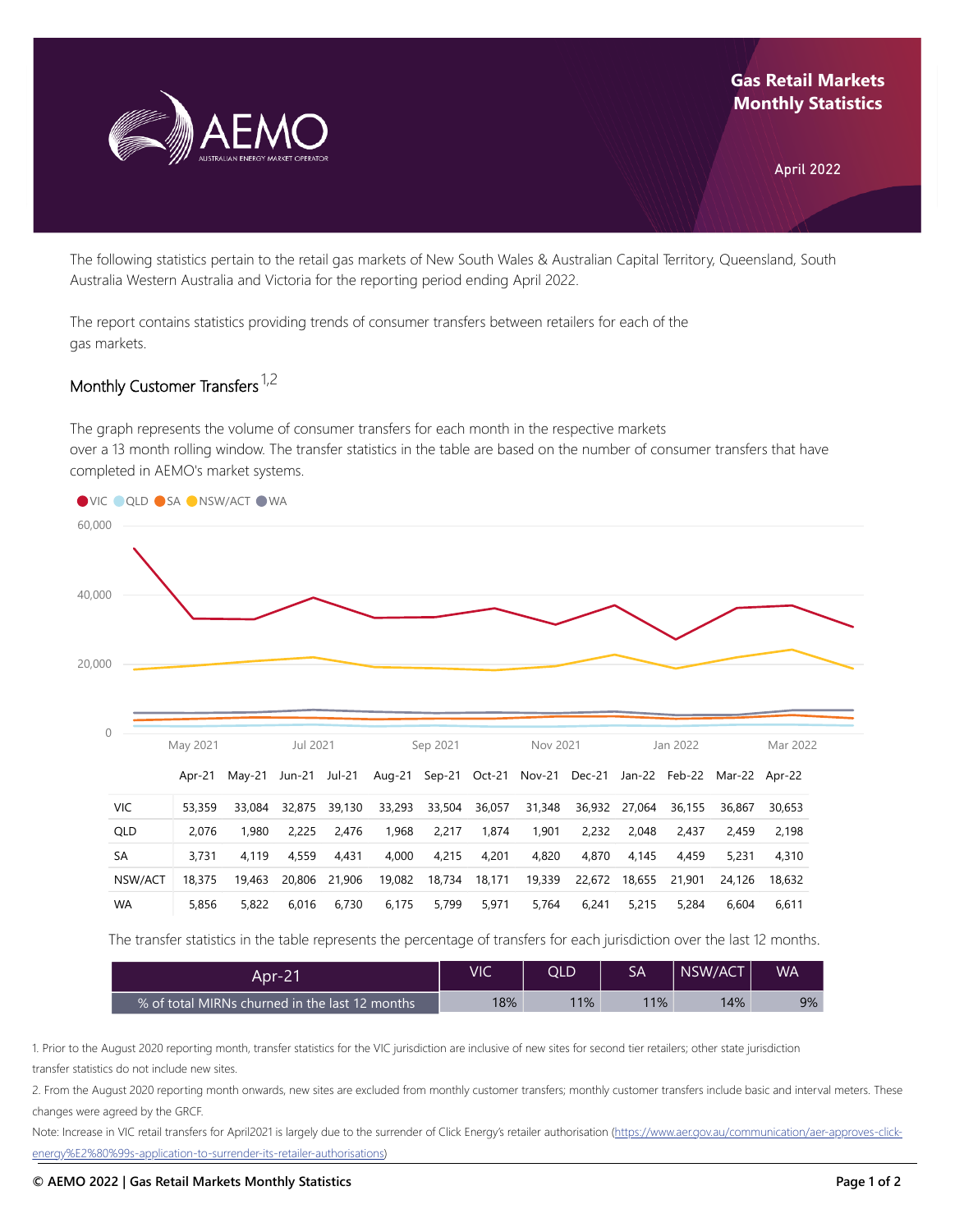

## **Gas Retail Markets Monthly Statistics**

April 2022

The following statistics pertain to the retail gas markets of New South Wales & Australian Capital Territory, Queensland, South Australia Western Australia and Victoria for the reporting period ending April 2022.

The report contains statistics providing trends of consumer transfers between retailers for each of the gas markets.

## Monthly Customer Transfers <sup>1,2</sup>

The graph represents the volume of consumer transfers for each month in the respective markets over a 13 month rolling window. The transfer statistics in the table are based on the number of consumer transfers that have completed in AEMO's market systems.



The transfer statistics in the table represents the percentage of transfers for each jurisdiction over the last 12 months.

| Apr-21                                         | VIC | QLD | SА  | NSW/ACT | WA. |
|------------------------------------------------|-----|-----|-----|---------|-----|
| % of total MIRNs churned in the last 12 months | 18% | 11% | 11% | 14%     | 9%  |

1. Prior to the August 2020 reporting month, transfer statistics for the VIC jurisdiction are inclusive of new sites for second tier retailers; other state jurisdiction transfer statistics do not include new sites.

2. From the August 2020 reporting month onwards, new sites are excluded from monthly customer transfers; monthly customer transfers include basic and interval meters. These changes were agreed by the GRCF.

Note: Increase in VIC retail transfers for April2021 is largely due to the surrender of Click Energy's retailer authorisation (https://www.aer.gov.au/communication/aer-approves-click[energy%E2%80%99s-application-to-surrender-its-retailer-authorisations\)](https://www.aer.gov.au/communication/aer-approves-click-energy%E2%80%99s-application-to-surrender-its-retailer-authorisations)